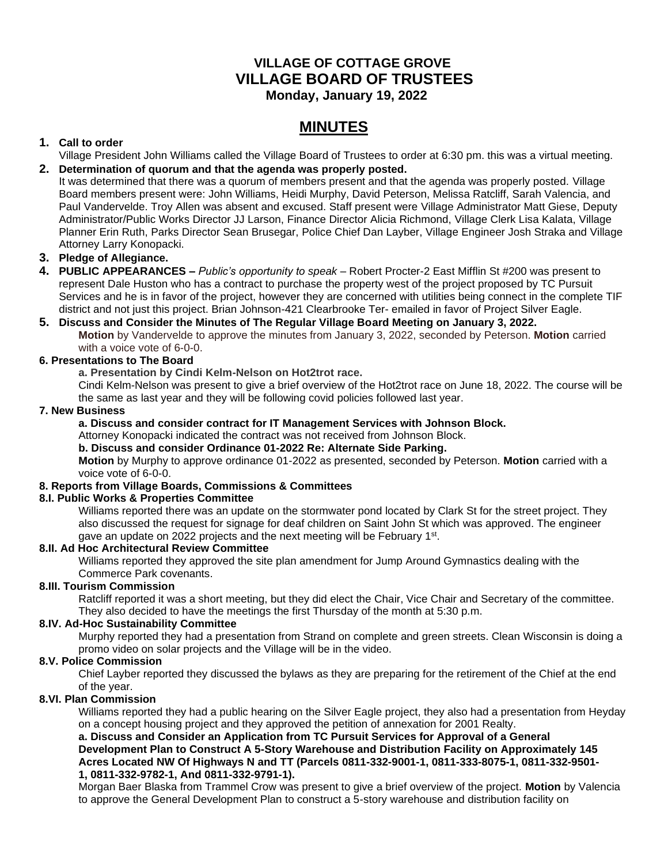## **VILLAGE OF COTTAGE GROVE VILLAGE BOARD OF TRUSTEES Monday, January 19, 2022**

# **MINUTES**

## **1. Call to order**

Village President John Williams called the Village Board of Trustees to order at 6:30 pm. this was a virtual meeting. **2. Determination of quorum and that the agenda was properly posted.**

It was determined that there was a quorum of members present and that the agenda was properly posted. Village Board members present were: John Williams, Heidi Murphy, David Peterson, Melissa Ratcliff, Sarah Valencia, and Paul Vandervelde. Troy Allen was absent and excused. Staff present were Village Administrator Matt Giese, Deputy Administrator/Public Works Director JJ Larson, Finance Director Alicia Richmond, Village Clerk Lisa Kalata, Village Planner Erin Ruth, Parks Director Sean Brusegar, Police Chief Dan Layber, Village Engineer Josh Straka and Village Attorney Larry Konopacki.

## **3. Pledge of Allegiance.**

**4. PUBLIC APPEARANCES –** *Public's opportunity to speak –* Robert Procter-2 East Mifflin St #200 was present to represent Dale Huston who has a contract to purchase the property west of the project proposed by TC Pursuit Services and he is in favor of the project, however they are concerned with utilities being connect in the complete TIF district and not just this project. Brian Johnson-421 Clearbrooke Ter- emailed in favor of Project Silver Eagle.

#### **5. Discuss and Consider the Minutes of The Regular Village Board Meeting on January 3, 2022.**

**Motion** by Vandervelde to approve the minutes from January 3, 2022, seconded by Peterson. **Motion** carried with a voice vote of 6-0-0.

## **6. Presentations to The Board**

**a. Presentation by Cindi Kelm-Nelson on Hot2trot race.**

Cindi Kelm-Nelson was present to give a brief overview of the Hot2trot race on June 18, 2022. The course will be the same as last year and they will be following covid policies followed last year.

#### **7. New Business**

## **a. Discuss and consider contract for IT Management Services with Johnson Block.**

Attorney Konopacki indicated the contract was not received from Johnson Block.

#### **b. Discuss and consider Ordinance 01-2022 Re: Alternate Side Parking.**

**Motion** by Murphy to approve ordinance 01-2022 as presented, seconded by Peterson. **Motion** carried with a voice vote of 6-0-0.

## **8. Reports from Village Boards, Commissions & Committees**

## **8.I. Public Works & Properties Committee**

Williams reported there was an update on the stormwater pond located by Clark St for the street project. They also discussed the request for signage for deaf children on Saint John St which was approved. The engineer gave an update on 2022 projects and the next meeting will be February 1<sup>st</sup>.

## **8.II. Ad Hoc Architectural Review Committee**

Williams reported they approved the site plan amendment for Jump Around Gymnastics dealing with the Commerce Park covenants.

## **8.III. Tourism Commission**

Ratcliff reported it was a short meeting, but they did elect the Chair, Vice Chair and Secretary of the committee. They also decided to have the meetings the first Thursday of the month at 5:30 p.m.

## **8.IV. Ad-Hoc Sustainability Committee**

Murphy reported they had a presentation from Strand on complete and green streets. Clean Wisconsin is doing a promo video on solar projects and the Village will be in the video.

## **8.V. Police Commission**

Chief Layber reported they discussed the bylaws as they are preparing for the retirement of the Chief at the end of the year.

## **8.VI. Plan Commission**

Williams reported they had a public hearing on the Silver Eagle project, they also had a presentation from Heyday on a concept housing project and they approved the petition of annexation for 2001 Realty.

**a. Discuss and Consider an Application from TC Pursuit Services for Approval of a General Development Plan to Construct A 5-Story Warehouse and Distribution Facility on Approximately 145 Acres Located NW Of Highways N and TT (Parcels 0811-332-9001-1, 0811-333-8075-1, 0811-332-9501- 1, 0811-332-9782-1, And 0811-332-9791-1).**

Morgan Baer Blaska from Trammel Crow was present to give a brief overview of the project. **Motion** by Valencia to approve the General Development Plan to construct a 5-story warehouse and distribution facility on